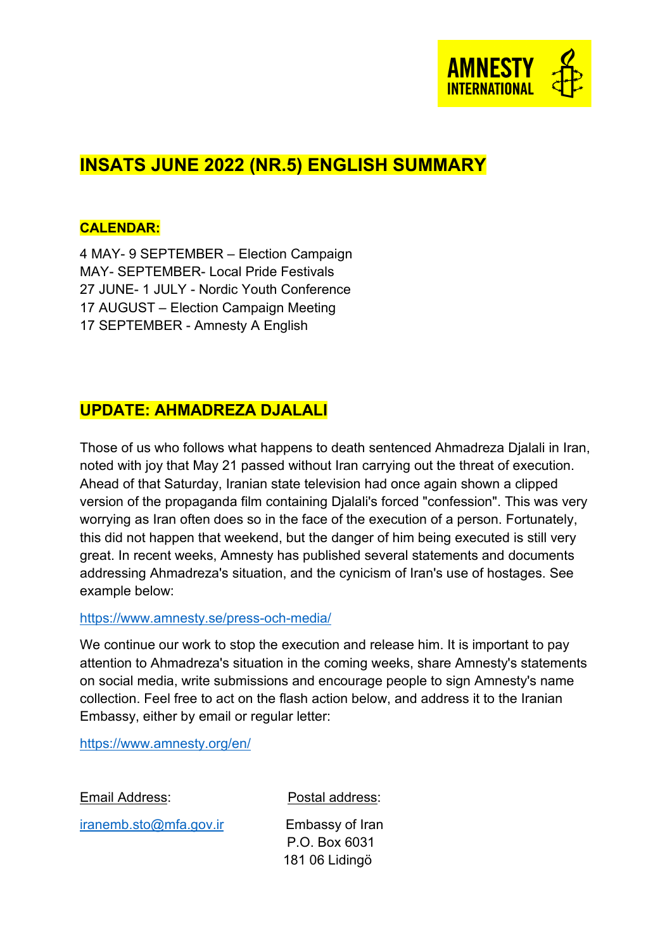

# **INSATS JUNE 2022 (NR.5) ENGLISH SUMMARY**

#### **CALENDAR:**

4 MAY- 9 SEPTEMBER – Election Campaign MAY- SEPTEMBER- Local Pride Festivals 27 JUNE- 1 JULY - Nordic Youth Conference 17 AUGUST – Election Campaign Meeting 17 SEPTEMBER - Amnesty A English

### **UPDATE: AHMADREZA DJALALI**

Those of us who follows what happens to death sentenced Ahmadreza Djalali in Iran, noted with joy that May 21 passed without Iran carrying out the threat of execution. Ahead of that Saturday, Iranian state television had once again shown a clipped version of the propaganda film containing Djalali's forced "confession". This was very worrying as Iran often does so in the face of the execution of a person. Fortunately, this did not happen that weekend, but the danger of him being executed is still very great. In recent weeks, Amnesty has published several statements and documents addressing Ahmadreza's situation, and the cynicism of Iran's use of hostages. See example below:

#### <https://www.amnesty.se/press-och-media/>

We continue our work to stop the execution and release him. It is important to pay attention to Ahmadreza's situation in the coming weeks, share Amnesty's statements on social media, write submissions and encourage people to sign Amnesty's name collection. Feel free to act on the flash action below, and address it to the Iranian Embassy, either by email or regular letter:

<https://www.amnesty.org/en/>

| Email Address: |  |
|----------------|--|
|                |  |

[iranemb.sto@mfa.gov.ir](mailto:iranemb.sto@mfa.gov.ir) Embassy of Iran

Postal address:

 P.O. Box 6031 181 06 Lidingö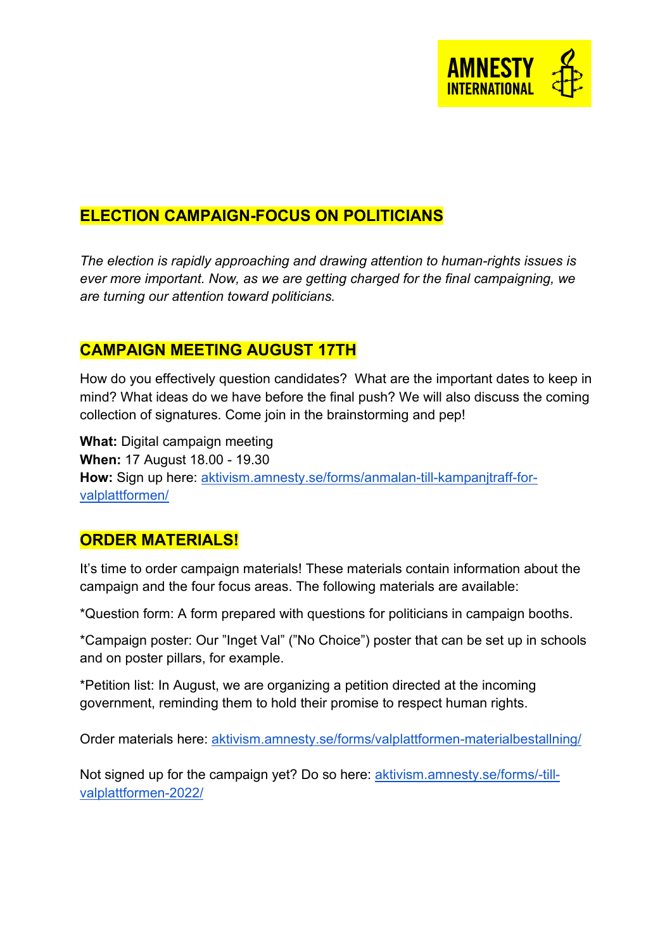

# **ELECTION CAMPAIGN-FOCUS ON POLITICIANS**

*The election is rapidly approaching and drawing attention to human-rights issues is ever more important. Now, as we are getting charged for the final campaigning, we are turning our attention toward politicians.* 

# **CAMPAIGN MEETING AUGUST 17TH**

How do you effectively question candidates? What are the important dates to keep in mind? What ideas do we have before the final push? We will also discuss the coming collection of signatures. Come join in the brainstorming and pep!

**What:** Digital campaign meeting **When:** 17 August 18.00 - 19.30 **How:** Sign up here: [aktivism.amnesty.se/forms/anmalan-till-kampanjtraff-for](https://aktivism.amnesty.se/forms/anmalan-till-kampanjtraff-for-valplattformen/)[valplattformen/](https://aktivism.amnesty.se/forms/anmalan-till-kampanjtraff-for-valplattformen/)

### **ORDER MATERIALS!**

It's time to order campaign materials! These materials contain information about the campaign and the four focus areas. The following materials are available:

\*Question form: A form prepared with questions for politicians in campaign booths.

\*Campaign poster: Our "Inget Val" ("No Choice") poster that can be set up in schools and on poster pillars, for example.

\*Petition list: In August, we are organizing a petition directed at the incoming government, reminding them to hold their promise to respect human rights.

Order materials here: [aktivism.amnesty.se/forms/valplattformen-materialbestallning/](https://aktivism.amnesty.se/forms/valplattformen-materialbestallning/)

Not signed up for the campaign yet? Do so here: [aktivism.amnesty.se/forms/-till](https://aktivism.amnesty.se/forms/anmalan-till-valplattformen-2022/)[valplattformen-2022/](https://aktivism.amnesty.se/forms/anmalan-till-valplattformen-2022/)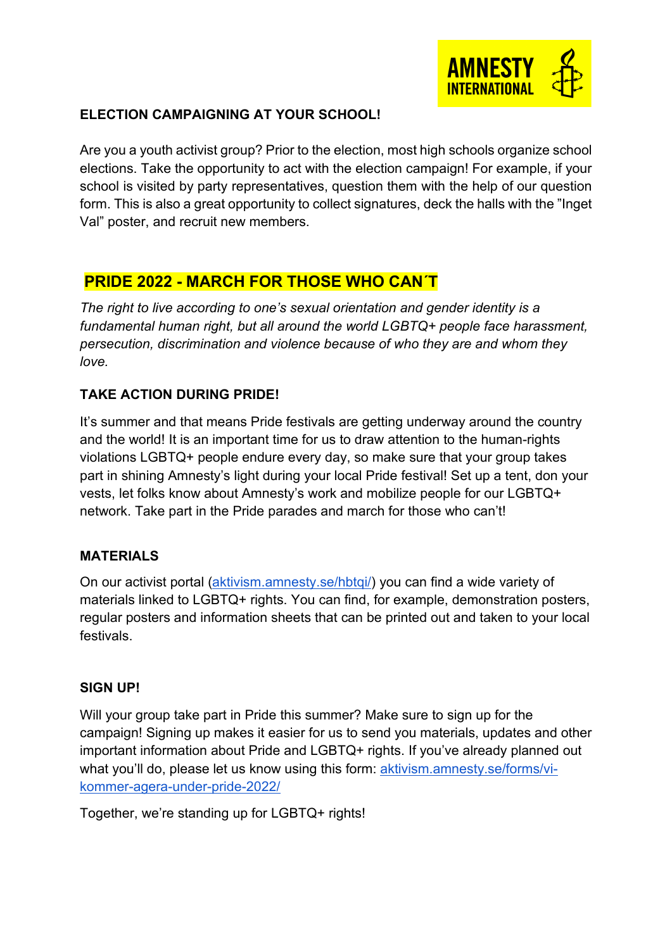

### **ELECTION CAMPAIGNING AT YOUR SCHOOL!**

Are you a youth activist group? Prior to the election, most high schools organize school elections. Take the opportunity to act with the election campaign! For example, if your school is visited by party representatives, question them with the help of our question form. This is also a great opportunity to collect signatures, deck the halls with the "Inget Val" poster, and recruit new members.

# **PRIDE 2022 - MARCH FOR THOSE WHO CAN´T**

*The right to live according to one's sexual orientation and gender identity is a fundamental human right, but all around the world LGBTQ+ people face harassment, persecution, discrimination and violence because of who they are and whom they love.* 

### **TAKE ACTION DURING PRIDE!**

It's summer and that means Pride festivals are getting underway around the country and the world! It is an important time for us to draw attention to the human-rights violations LGBTQ+ people endure every day, so make sure that your group takes part in shining Amnesty's light during your local Pride festival! Set up a tent, don your vests, let folks know about Amnesty's work and mobilize people for our LGBTQ+ network. Take part in the Pride parades and march for those who can't!

### **MATERIALS**

On our activist portal [\(aktivism.amnesty.se/hbtqi/\)](https://aktivism.amnesty.se/hbtqi/) you can find a wide variety of materials linked to LGBTQ+ rights. You can find, for example, demonstration posters, regular posters and information sheets that can be printed out and taken to your local festivals.

#### **SIGN UP!**

Will your group take part in Pride this summer? Make sure to sign up for the campaign! Signing up makes it easier for us to send you materials, updates and other important information about Pride and LGBTQ+ rights. If you've already planned out what you'll do, please let us know using this form: [aktivism.amnesty.se/forms/vi](https://aktivism.amnesty.se/forms/vi-kommer-agera-under-pride-2022/)[kommer-agera-under-pride-2022/](https://aktivism.amnesty.se/forms/vi-kommer-agera-under-pride-2022/)

Together, we're standing up for LGBTQ+ rights!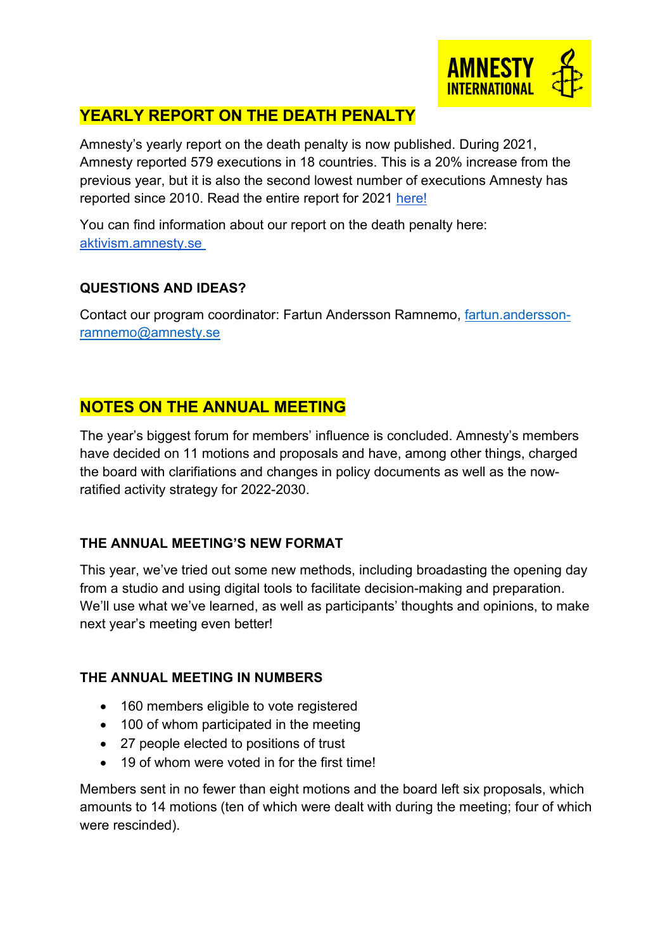

# **YEARLY REPORT ON THE DEATH PENALTY**

Amnesty's yearly report on the death penalty is now published. During 2021, Amnesty reported 579 executions in 18 countries. This is a 20% increase from the previous year, but it is also the second lowest number of executions Amnesty has reported since 2010. Read the entire report for 2021 [here!](https://www.amnesty.se/press-och-media/#/pressreleases/doedsstraffet-i-vaerlden-2021-statligt-sanktionerat-doedande-paa-uppgaang-med-allt-fler-avraettningar-i-iran-och-saudiarabien-3184155)

You can find information about our report on the death penalty here: [aktivism.amnesty.se](https://aktivism.amnesty.se/dodsstraff/)

### **QUESTIONS AND IDEAS?**

Contact our program coordinator: Fartun Andersson Ramnemo, [fartun.andersson](mailto:fartun.andersson-ramnemo@amnesty.se)[ramnemo@amnesty.se](mailto:fartun.andersson-ramnemo@amnesty.se)

### **NOTES ON THE ANNUAL MEETING**

The year's biggest forum for members' influence is concluded. Amnesty's members have decided on 11 motions and proposals and have, among other things, charged the board with clarifiations and changes in policy documents as well as the nowratified activity strategy for 2022-2030.

### **THE ANNUAL MEETING'S NEW FORMAT**

This year, we've tried out some new methods, including broadasting the opening day from a studio and using digital tools to facilitate decision-making and preparation. We'll use what we've learned, as well as participants' thoughts and opinions, to make next year's meeting even better!

### **THE ANNUAL MEETING IN NUMBERS**

- 160 members eligible to vote registered
- 100 of whom participated in the meeting
- 27 people elected to positions of trust
- 19 of whom were voted in for the first time!

Members sent in no fewer than eight motions and the board left six proposals, which amounts to 14 motions (ten of which were dealt with during the meeting; four of which were rescinded).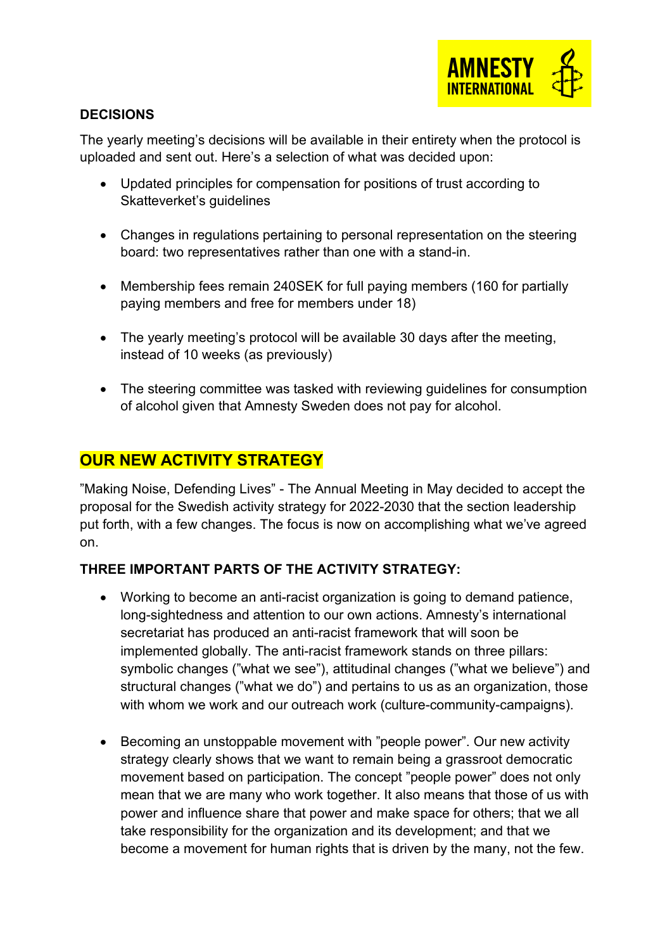

### **DECISIONS**

The yearly meeting's decisions will be available in their entirety when the protocol is uploaded and sent out. Here's a selection of what was decided upon:

- Updated principles for compensation for positions of trust according to Skatteverket's guidelines
- Changes in regulations pertaining to personal representation on the steering board: two representatives rather than one with a stand-in.
- Membership fees remain 240SEK for full paying members (160 for partially paying members and free for members under 18)
- The yearly meeting's protocol will be available 30 days after the meeting, instead of 10 weeks (as previously)
- The steering committee was tasked with reviewing guidelines for consumption of alcohol given that Amnesty Sweden does not pay for alcohol.

### **OUR NEW ACTIVITY STRATEGY**

"Making Noise, Defending Lives" - The Annual Meeting in May decided to accept the proposal for the Swedish activity strategy for 2022-2030 that the section leadership put forth, with a few changes. The focus is now on accomplishing what we've agreed on.

### **THREE IMPORTANT PARTS OF THE ACTIVITY STRATEGY:**

- Working to become an anti-racist organization is going to demand patience, long-sightedness and attention to our own actions. Amnesty's international secretariat has produced an anti-racist framework that will soon be implemented globally. The anti-racist framework stands on three pillars: symbolic changes ("what we see"), attitudinal changes ("what we believe") and structural changes ("what we do") and pertains to us as an organization, those with whom we work and our outreach work (culture-community-campaigns).
- Becoming an unstoppable movement with "people power". Our new activity strategy clearly shows that we want to remain being a grassroot democratic movement based on participation. The concept "people power" does not only mean that we are many who work together. It also means that those of us with power and influence share that power and make space for others; that we all take responsibility for the organization and its development; and that we become a movement for human rights that is driven by the many, not the few.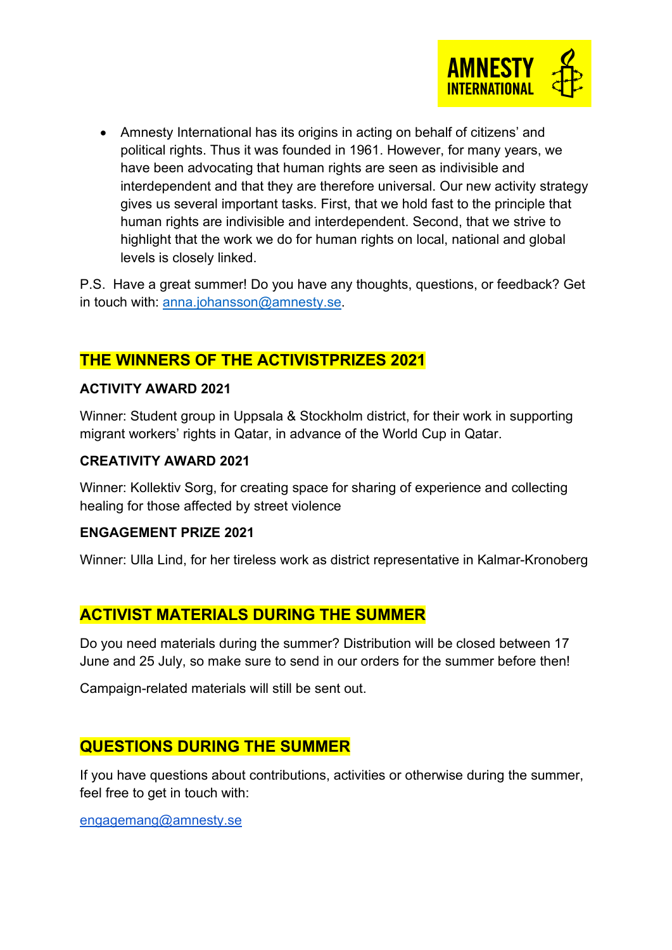

• Amnesty International has its origins in acting on behalf of citizens' and political rights. Thus it was founded in 1961. However, for many years, we have been advocating that human rights are seen as indivisible and interdependent and that they are therefore universal. Our new activity strategy gives us several important tasks. First, that we hold fast to the principle that human rights are indivisible and interdependent. Second, that we strive to highlight that the work we do for human rights on local, national and global levels is closely linked.

P.S. Have a great summer! Do you have any thoughts, questions, or feedback? Get in touch with: [anna.johansson@amnesty.se.](mailto:anna.johansson@amnesty.se)

### **THE WINNERS OF THE ACTIVISTPRIZES 2021**

#### **ACTIVITY AWARD 2021**

Winner: Student group in Uppsala & Stockholm district, for their work in supporting migrant workers' rights in Qatar, in advance of the World Cup in Qatar.

#### **CREATIVITY AWARD 2021**

Winner: Kollektiv Sorg, for creating space for sharing of experience and collecting healing for those affected by street violence

#### **ENGAGEMENT PRIZE 2021**

Winner: Ulla Lind, for her tireless work as district representative in Kalmar-Kronoberg

### **ACTIVIST MATERIALS DURING THE SUMMER**

Do you need materials during the summer? Distribution will be closed between 17 June and 25 July, so make sure to send in our orders for the summer before then!

Campaign-related materials will still be sent out.

### **QUESTIONS DURING THE SUMMER**

If you have questions about contributions, activities or otherwise during the summer, feel free to get in touch with:

[engagemang@amnesty.se](mailto:engagemang@amnesty.se)